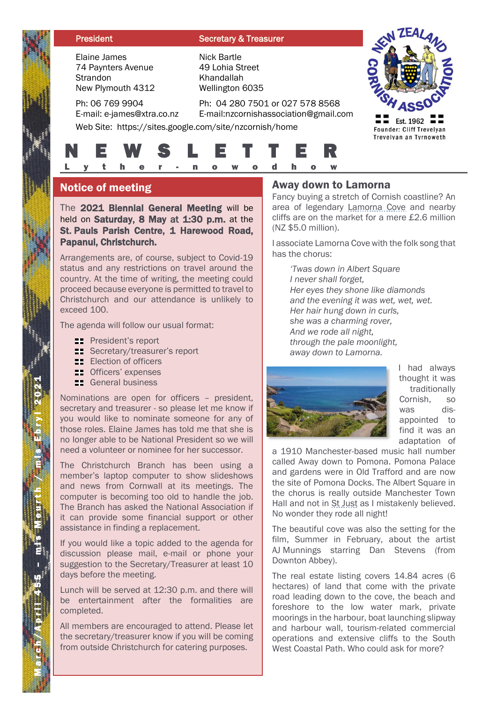#### **President Secretary & Treasurer**

Elaine James 74 Paynters Avenue **Strandon** New Plymouth 4312

E-mail: e-james@xtra.co.nz

Ph: 06 769 9904

Nick Bartle 49 Lohia Street Khandallah Wellington 6035

 $\equiv$  Est. 1962 Founder: Cliff Trevelyan Trevelyan an Tyrnoweth

Ph: 04 280 7501 or 027 578 8568 E-mail:nzcornishassociation@gmail.com

Web Site: https://sites.google.com/site/nzcornish/home



## Notice of meeting

The 2021 Biennial General Meeting will be held on Saturday, 8 May at 1:30 p.m. at the St. Pauls Parish Centre, 1 Harewood Road, Papanui, Christchurch.

Arrangements are, of course, subject to Covid-19 status and any restrictions on travel around the country. At the time of writing, the meeting could proceed because everyone is permitted to travel to Christchurch and our attendance is unlikely to exceed 100.

The agenda will follow our usual format:

- **EXECUTE:** President's report
- **Secretary/treasurer's report**
- **ELE** Election of officers
- **ED** Officers' expenses
- **EXEC** General business

Nominations are open for officers – president, secretary and treasurer - so please let me know if you would like to nominate someone for any of those roles. Elaine James has told me that she is no longer able to be National President so we will need a volunteer or nominee for her successor.

The Christchurch Branch has been using a member's laptop computer to show slideshows and news from Cornwall at its meetings. The computer is becoming too old to handle the job. The Branch has asked the National Association if it can provide some financial support or other assistance in finding a replacement.

If you would like a topic added to the agenda for discussion please mail, e-mail or phone your suggestion to the Secretary/Treasurer at least 10 days before the meeting.

Lunch will be served at 12:30 p.m. and there will be entertainment after the formalities are completed.

All members are encouraged to attend. Please let the secretary/treasurer know if you will be coming from outside Christchurch for catering purposes.

#### Away down to Lamorna

Fancy buying a stretch of Cornish coastline? An area of legendary **Lamorna Cove** and nearby cliffs are on the market for a mere £2.6 million (NZ \$5.0 million).

I associate Lamorna Cove with the folk song that has the chorus:

*'Twas down in Albert Square I never shall forget, Her eyes they shone like diamonds and the evening it was wet, wet, wet. Her hair hung down in curls, she was a charming rover, And we rode all night, through the pale moonlight, away down to Lamorna.*



I had always thought it was traditionally Cornish, so was disappointed to find it was an adaptation of

a 1910 Manchester-based music hall number called Away down to Pomona. Pomona Palace and gardens were in Old Trafford and are now the site of Pomona Docks. The Albert Square in the chorus is really outside Manchester Town Hall and not in St Just as I mistakenly believed. No wonder they rode all night!

The beautiful cove was also the setting for the film, Summer in February, about the artist AJ Munnings starring Dan Stevens (from Downton Abbey).

The real estate listing covers 14.84 acres (6 hectares) of land that come with the private road leading down to the cove, the beach and foreshore to the low water mark, private moorings in the harbour, boat launching slipway and harbour wall, tourism-related commercial operations and extensive cliffs to the South West Coastal Path. Who could ask for more?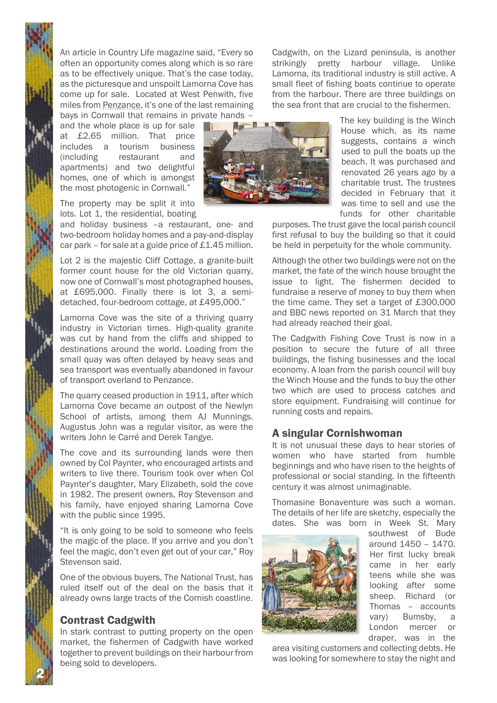An article in Country Life magazine said, "Every so often an opportunity comes along which is so rare as to be effectively unique. That's the case today, as the picturesque and unspoilt Lamorna Cove has come up for sale. Located at West Penwith, five miles from Penzance, it's one of the last remaining bays in Cornwall that remains in private hands –

and the whole place is up for sale at £2.65 million. That price includes a tourism business (including restaurant and apartments) and two delightful homes, one of which is amongst the most photogenic in Cornwall."

The property may be split it into lots. Lot 1, the residential, boating

and holiday business –a restaurant, one- and two-bedroom holiday homes and a pay-and-display car park – for sale at a guide price of £1.45 million.

Lot 2 is the majestic Cliff Cottage, a granite-built former count house for the old Victorian quarry, now one of Cornwall's most photographed houses, at £695,000. Finally there is lot 3, a semidetached, four-bedroom cottage, at £495,000."

Lamorna Cove was the site of a thriving quarry industry in Victorian times. High-quality granite was cut by hand from the cliffs and shipped to destinations around the world. Loading from the small quay was often delayed by heavy seas and sea transport was eventually abandoned in favour of transport overland to Penzance.

The quarry ceased production in 1911, after which Lamorna Cove became an outpost of the Newlyn School of artists, among them AJ Munnings. Augustus John was a regular visitor, as were the writers John le Carré and Derek Tangye.

The cove and its surrounding lands were then owned by Col Paynter, who encouraged artists and writers to live there. Tourism took over when Col Paynter's daughter, Mary Elizabeth, sold the cove in 1982. The present owners, Roy Stevenson and his family, have enjoyed sharing Lamorna Cove with the public since 1995.

"It is only going to be sold to someone who feels the magic of the place. If you arrive and you don't feel the magic, don't even get out of your car," Roy Stevenson said.

One of the obvious buyers, The National Trust, has ruled itself out of the deal on the basis that it already owns large tracts of the Cornish coastline.

## Contrast Cadgwith

2

In stark contrast to putting property on the open market, the fishermen of Cadgwith have worked together to prevent buildings on their harbour from being sold to developers.

Cadgwith, on the Lizard peninsula, is another strikingly pretty harbour village. Unlike Lamorna, its traditional industry is still active. A small fleet of fishing boats continue to operate from the harbour. There are three buildings on the sea front that are crucial to the fishermen.



The key building is the Winch House which, as its name suggests, contains a winch used to pull the boats up the beach. It was purchased and renovated 26 years ago by a charitable trust. The trustees decided in February that it was time to sell and use the funds for other charitable

purposes. The trust gave the local parish council first refusal to buy the building so that it could be held in perpetuity for the whole community.

Although the other two buildings were not on the market, the fate of the winch house brought the issue to light. The fishermen decided to fundraise a reserve of money to buy them when the time came. They set a target of £300,000 and BBC news reported on 31 March that they had already reached their goal.

The Cadgwith Fishing Cove Trust is now in a position to secure the future of all three buildings, the fishing businesses and the local economy. A loan from the parish council will buy the Winch House and the funds to buy the other two which are used to process catches and store equipment. Fundraising will continue for running costs and repairs.

## A singular Cornishwoman

It is not unusual these days to hear stories of women who have started from humble beginnings and who have risen to the heights of professional or social standing. In the fifteenth century it was almost unimaginable.

Thomasine Bonaventure was such a woman. The details of her life are sketchy, especially the dates. She was born in Week St. Mary



southwest of Bude around 1450 – 1470. Her first lucky break came in her early teens while she was looking after some sheep. Richard (or Thomas – accounts vary) Bumsby, a London mercer or draper, was in the

area visiting customers and collecting debts. He was looking for somewhere to stay the night and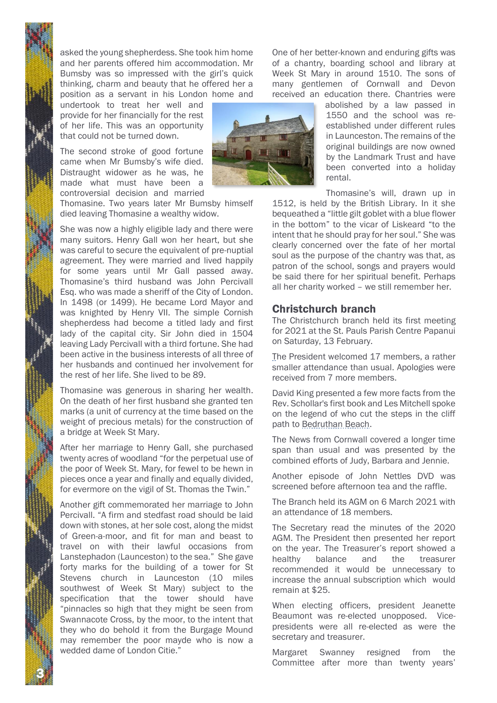asked the young shepherdess. She took him home and her parents offered him accommodation. Mr Bumsby was so impressed with the girl's quick thinking, charm and beauty that he offered her a position as a servant in his London home and

undertook to treat her well and provide for her financially for the rest of her life. This was an opportunity that could not be turned down.

The second stroke of good fortune came when Mr Bumsby's wife died. Distraught widower as he was, he made what must have been a controversial decision and married

Thomasine. Two years later Mr Bumsby himself died leaving Thomasine a wealthy widow.

She was now a highly eligible lady and there were many suitors. Henry Gall won her heart, but she was careful to secure the equivalent of pre-nuptial agreement. They were married and lived happily for some years until Mr Gall passed away. Thomasine's third husband was John Percivall Esq. who was made a sheriff of the City of London. In 1498 (or 1499). He became Lord Mayor and was knighted by Henry VII. The simple Cornish shepherdess had become a titled lady and first lady of the capital city. Sir John died in 1504 leaving Lady Percivall with a third fortune. She had been active in the business interests of all three of her husbands and continued her involvement for the rest of her life. She lived to be 89.

Thomasine was generous in sharing her wealth. On the death of her first husband she granted ten marks (a unit of currency at the time based on the weight of precious metals) for the construction of a bridge at Week St Mary.

After her marriage to Henry Gall, she purchased twenty acres of woodland "for the perpetual use of the poor of Week St. Mary, for fewel to be hewn in pieces once a year and finally and equally divided, for evermore on the vigil of St. Thomas the Twin."

Another gift commemorated her marriage to John Percivall. "A firm and stedfast road should be laid down with stones, at her sole cost, along the midst of Green-a-moor, and fit for man and beast to travel on with their lawful occasions from Lanstephadon (Launceston) to the sea." She gave forty marks for the building of a tower for St Stevens church in Launceston (10 miles southwest of Week St Mary) subject to the specification that the tower should have "pinnacles so high that they might be seen from Swannacote Cross, by the moor, to the intent that they who do behold it from the Burgage Mound may remember the poor mayde who is now a wedded dame of London Citie."

3

One of her better-known and enduring gifts was of a chantry, boarding school and library at Week St Mary in around 1510. The sons of many gentlemen of Cornwall and Devon received an education there. Chantries were

> abolished by a law passed in 1550 and the school was reestablished under different rules in Launceston. The remains of the original buildings are now owned by the Landmark Trust and have been converted into a holiday rental.

Thomasine's will, drawn up in 1512, is held by the British Library. In it she bequeathed a "little gilt goblet with a blue flower in the bottom" to the vicar of Liskeard "to the intent that he should pray for her soul." She was clearly concerned over the fate of her mortal soul as the purpose of the chantry was that, as patron of the school, songs and prayers would be said there for her spiritual benefit. Perhaps all her charity worked – we still remember her.

#### Christchurch branch

The Christchurch branch held its first meeting for 2021 at the St. Pauls Parish Centre Papanui on Saturday, 13 February.

The President welcomed 17 members, a rather smaller attendance than usual. Apologies were received from 7 more members.

David King presented a few more facts from the Rev. Schollar's first book and Les Mitchell spoke on the legend of who cut the steps in the cliff path to Bedruthan Beach.

The News from Cornwall covered a longer time span than usual and was presented by the combined efforts of Judy, Barbara and Jennie.

Another episode of John Nettles DVD was screened before afternoon tea and the raffle.

The Branch held its AGM on 6 March 2021 with an attendance of 18 members.

The Secretary read the minutes of the 2020 AGM. The President then presented her report on the year. The Treasurer's report showed a healthy balance and the treasurer recommended it would be unnecessary to increase the annual subscription which would remain at \$25.

When electing officers, president Jeanette Beaumont was re-elected unopposed. Vicepresidents were all re-elected as were the secretary and treasurer.

Margaret Swanney resigned from the Committee after more than twenty years'